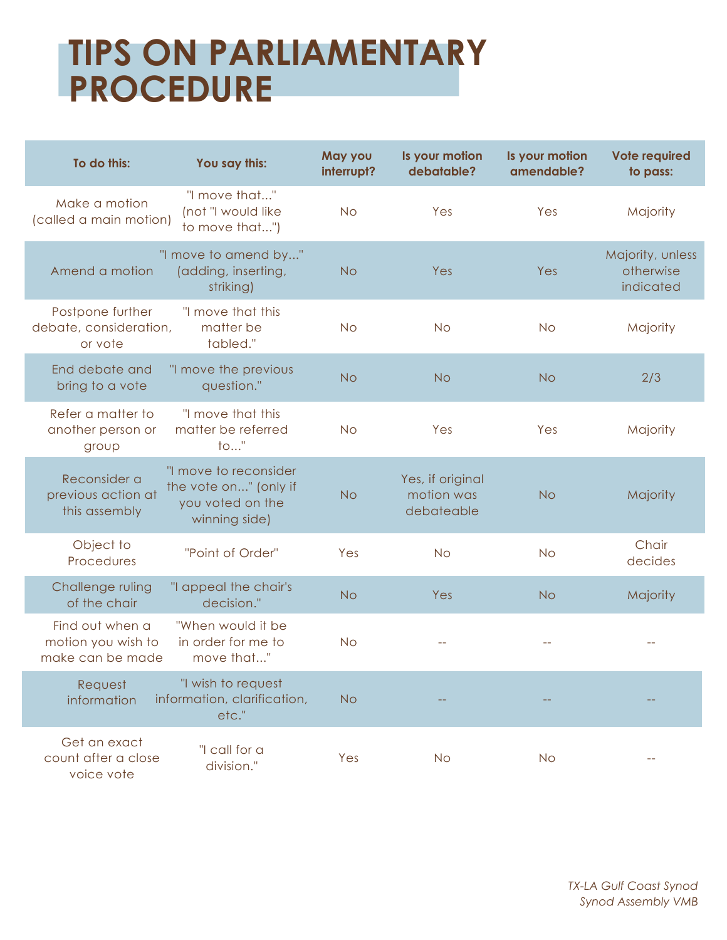## **TIPS ON PARLIAMENTARY PROCEDURE**

| To do this:                                               | You say this:                                                                       | May you<br>interrupt? | Is your motion<br>debatable?                 | Is your motion<br>amendable? | <b>Vote required</b><br>to pass:           |
|-----------------------------------------------------------|-------------------------------------------------------------------------------------|-----------------------|----------------------------------------------|------------------------------|--------------------------------------------|
| Make a motion<br>(called a main motion)                   | "I move that"<br>(not "I would like<br>to move that")                               | <b>No</b>             | Yes                                          | Yes                          | Majority                                   |
| Amend a motion                                            | "I move to amend by"<br>(adding, inserting,<br>striking)                            | <b>No</b>             | Yes                                          | Yes                          | Majority, unless<br>otherwise<br>indicated |
| Postpone further<br>debate, consideration,<br>or vote     | "I move that this<br>matter be<br>tabled."                                          | <b>No</b>             | <b>No</b>                                    | <b>No</b>                    | Majority                                   |
| End debate and<br>bring to a vote                         | "I move the previous<br>question."                                                  | <b>No</b>             | <b>No</b>                                    | <b>No</b>                    | 2/3                                        |
| Refer a matter to<br>another person or<br>group           | "I move that this<br>matter be referred<br>$\mathsf{to}$ "                          | <b>No</b>             | Yes                                          | Yes                          | Majority                                   |
| Reconsider a<br>previous action at<br>this assembly       | "I move to reconsider<br>the vote on" (only if<br>you voted on the<br>winning side) | <b>No</b>             | Yes, if original<br>motion was<br>debateable | <b>No</b>                    | Majority                                   |
| Object to<br>Procedures                                   | "Point of Order"                                                                    | Yes                   | <b>No</b>                                    | <b>No</b>                    | Chair<br>decides                           |
| Challenge ruling<br>of the chair                          | "I appeal the chair's<br>decision."                                                 | <b>No</b>             | Yes                                          | <b>No</b>                    | Majority                                   |
| Find out when a<br>motion you wish to<br>make can be made | "When would it be<br>in order for me to<br>move that"                               | <b>No</b>             |                                              |                              |                                            |
| Request<br>information                                    | "I wish to request<br>information, clarification,<br>etc."                          | <b>No</b>             |                                              |                              |                                            |
| Get an exact<br>count after a close<br>voice vote         | "I call for a<br>division."                                                         | Yes                   | <b>No</b>                                    | <b>No</b>                    |                                            |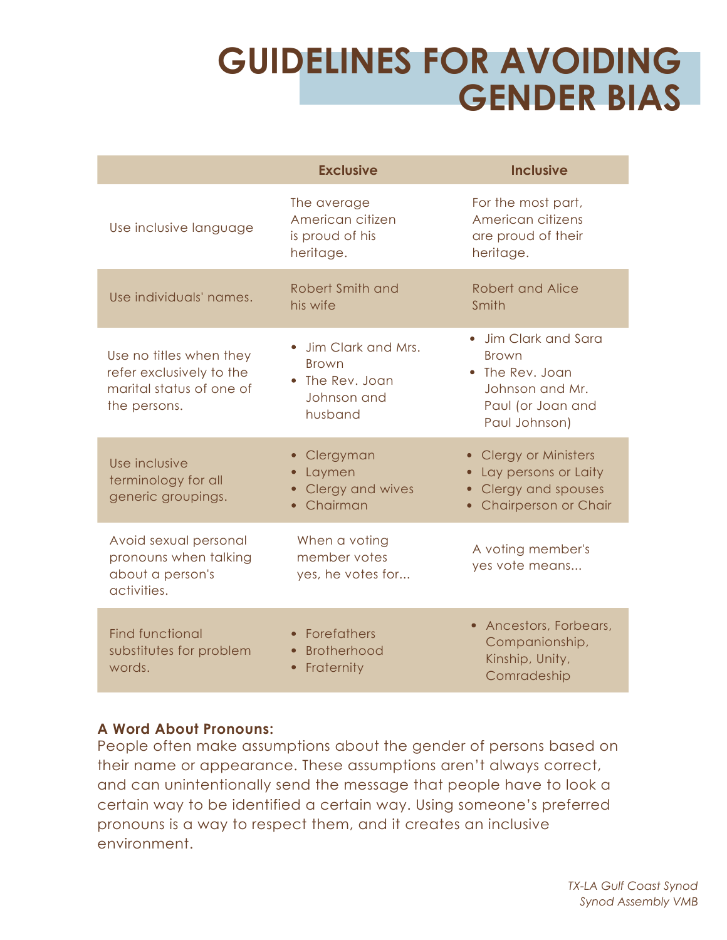## **GUIDELINES FOR AVOIDING GENDER BIAS**

|                                                                                                 | <b>Exclusive</b>                                                                | <b>Inclusive</b>                                                                                                             |  |
|-------------------------------------------------------------------------------------------------|---------------------------------------------------------------------------------|------------------------------------------------------------------------------------------------------------------------------|--|
| Use inclusive language                                                                          | The average<br>American citizen<br>is proud of his<br>heritage.                 | For the most part,<br>American citizens<br>are proud of their<br>heritage.                                                   |  |
| Use individuals' names.                                                                         | Robert Smith and<br>his wife                                                    | Robert and Alice<br>Smith                                                                                                    |  |
| Use no titles when they<br>refer exclusively to the<br>marital status of one of<br>the persons. | • Jim Clark and Mrs.<br><b>Brown</b><br>The Rev. Joan<br>Johnson and<br>husband | Jim Clark and Sara<br><b>Brown</b><br>The Rev. Joan<br>Johnson and Mr.<br>Paul (or Joan and<br>Paul Johnson)                 |  |
| Use inclusive<br>terminology for all<br>generic groupings.                                      | Clergyman<br>Laymen<br>Clergy and wives<br>Chairman                             | • Clergy or Ministers<br>Lay persons or Laity<br>Clergy and spouses<br>$\bullet$<br><b>Chairperson or Chair</b><br>$\bullet$ |  |
| Avoid sexual personal<br>pronouns when talking<br>about a person's<br>activities.               | When a voting<br>member votes<br>yes, he votes for                              | A voting member's<br>yes vote means                                                                                          |  |
| <b>Find functional</b><br>substitutes for problem<br>words.                                     | Forefathers<br><b>Brotherhood</b><br>Fraternity                                 | • Ancestors, Forbears,<br>Companionship,<br>Kinship, Unity,<br>Comradeship                                                   |  |

## **A Word About Pronouns:**

People often make assumptions about the gender of persons based on their name or appearance. These assumptions aren't always correct, and can unintentionally send the message that people have to look a certain way to be identified a certain way. Using someone's preferred pronouns is a way to respect them, and it creates an inclusive environment.